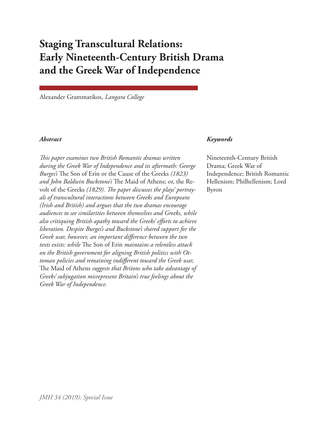# **Staging Transcultural Relations: Early Nineteenth-Century British Drama and the Greek War of Independence**

Alexander Grammatikos, *Langara College*

*This paper examines two British Romantic dramas written during the Greek War of Independence and its aftermath: George Burges's* The Son of Erin or the Cause of the Greeks *(1823) and John Baldwin Buckstone's* The Maid of Athens; or, the Revolt of the Greeks *(1829). The paper discusses the plays' portrayals of transcultural interactions between Greeks and Europeans (Irish and British) and argues that the two dramas encourage audiences to see similarities between themselves and Greeks, while also critiquing British apathy toward the Greeks' efforts to achieve liberation. Despite Burges's and Buckstone's shared support for the Greek war, however, an important difference between the two texts exists: while* The Son of Erin *maintains a relentless attack on the British government for aligning British politics with Ottoman policies and remaining indifferent toward the Greek war,*  The Maid of Athens *suggests that Britons who take advantage of Greeks' subjugation misrepresent Britain's true feelings about the Greek War of Independence.*

#### *Abstract Keywords*

Nineteenth-Century British Drama; Greek War of Independence; British Romantic Hellenism; Philhellenism; Lord Byron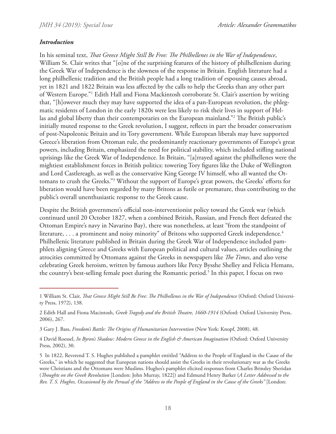## *Introduction*

In his seminal text, *That Greece Might Still Be Free: The Philhellenes in the War of Independence*, William St. Clair writes that "[o]ne of the surprising features of the history of philhellenism during the Greek War of Independence is the slowness of the response in Britain. English literature had a long philhellenic tradition and the British people had a long tradition of espousing causes abroad, yet in 1821 and 1822 Britain was less affected by the calls to help the Greeks than any other part of Western Europe."<sup>1</sup> Edith Hall and Fiona Mackintosh corroborate St. Clair's assertion by writing that, "[h]owever much they may have supported the idea of a pan-European revolution, the phlegmatic residents of London in the early 1820s were less likely to risk their lives in support of Hellas and global liberty than their contemporaries on the European mainland."2 The British public's initially muted response to the Greek revolution, I suggest, reflects in part the broader conservatism of post-Napoleonic Britain and its Tory government. While European liberals may have supported Greece's liberation from Ottoman rule, the predominantly reactionary governments of Europe's great powers, including Britain, emphasized the need for political stability, which included stifling national uprisings like the Greek War of Independence. In Britain, "[a]rrayed against the philhellenes were the mightiest establishment forces in British politics: towering Tory figures like the Duke of Wellington and Lord Castlereagh, as well as the conservative King George IV himself, who all wanted the Ottomans to crush the Greeks."<sup>3</sup> Without the support of Europe's great powers, the Greeks' efforts for liberation would have been regarded by many Britons as futile or premature, thus contributing to the public's overall unenthusiastic response to the Greek cause.

Despite the British government's official non-interventionist policy toward the Greek war (which continued until 20 October 1827, when a combined British, Russian, and French fleet defeated the Ottoman Empire's navy in Navarino Bay), there was nonetheless, at least "from the standpoint of literature, ... a prominent and noisy minority" of Britons who supported Greek independence.<sup>4</sup> Philhellenic literature published in Britain during the Greek War of Independence included pamphlets aligning Greece and Greeks with European political and cultural values, articles outlining the atrocities committed by Ottomans against the Greeks in newspapers like *The Times*, and also verse celebrating Greek heroism, written by famous authors like Percy Bysshe Shelley and Felicia Hemans, the country's best-selling female poet during the Romantic period.<sup>5</sup> In this paper, I focus on two

<sup>1</sup> William St. Clair, *That Greece Might Still Be Free: The Philhellenes in the War of Independence* (Oxford: Oxford University Press, 1972), 138.

<sup>2</sup> Edith Hall and Fiona Macintosh, *Greek Tragedy and the British Theatre, 1660-1914* (Oxford: Oxford University Press, 2006), 267.

<sup>3</sup> Gary J. Bass, *Freedom's Battle: The Origins of Humanitarian Intervention* (New York: Knopf, 2008), 48.

<sup>4</sup> David Roessel, *In Byron's Shadow: Modern Greece in the English & American Imagination* (Oxford: Oxford University Press, 2002), 30.

<sup>5</sup> In 1822, Reverend T. S. Hughes published a pamphlet entitled "Address to the People of England in the Cause of the Greeks," in which he suggested that European nations should assist the Greeks in their revolutionary war as the Greeks were Christians and the Ottomans were Muslims. Hughes's pamphlet elicited responses from Charles Brinsley Sheridan (*Thoughts on the Greek Revolution* [London: John Murray, 1822]) and Edmund Henry Barker (*A Letter Addressed to the Rev. T. S. Hughes, Occasioned by the Perusal of the "Address to the People of England in the Cause of the Greeks"* [London: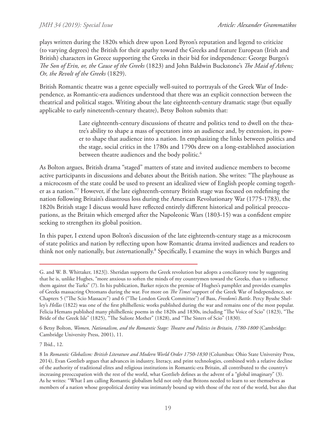### *JMH 34 (2019): Special Issue*

plays written during the 1820s which drew upon Lord Byron's reputation and legend to criticize (to varying degrees) the British for their apathy toward the Greeks and feature European (Irish and British) characters in Greece supporting the Greeks in their bid for independence: George Burges's *The Son of Erin, or, the Cause of the Greeks* (1823) and John Baldwin Buckstone's *The Maid of Athens; Or, the Revolt of the Greeks* (1829).

British Romantic theatre was a genre especially well-suited to portrayals of the Greek War of Independence, as Romantic-era audiences understood that there was an explicit connection between the theatrical and political stages. Writing about the late eighteenth-century dramatic stage (but equally applicable to early nineteenth-century theatre), Betsy Bolton submits that:

> Late eighteenth-century discussions of theatre and politics tend to dwell on the theatre's ability to shape a mass of spectators into an audience and, by extension, its power to shape that audience into a nation. In emphasizing the links between politics and the stage, social critics in the 1780s and 1790s drew on a long-established association between theatre audiences and the body politic.<sup>6</sup>

As Bolton argues, British drama "staged" matters of state and invited audience members to become active participants in discussions and debates about the British nation. She writes: "The playhouse as a microcosm of the state could be used to present an idealized view of English people coming together as a nation."7 However, if the late eighteenth-century British stage was focused on redefining the nation following Britain's disastrous loss during the American Revolutionary War (1775-1783), the 1820s British stage I discuss would have reflected entirely different historical and political preoccupations, as the Britain which emerged after the Napoleonic Wars (1803-15) was a confident empire seeking to strengthen its global position.

In this paper, I extend upon Bolton's discussion of the late eighteenth-century stage as a microcosm of state politics and nation by reflecting upon how Romantic drama invited audiences and readers to think not only nationally, but *inter*nationally.<sup>8</sup> Specifically, I examine the ways in which Burges and

6 Betsy Bolton, *Women, Nationalism, and the Romantic Stage: Theatre and Politics in Britain, 1780-1800* (Cambridge: Cambridge University Press, 2001), 11.

7 Ibid., 12.

8 In *Romantic Globalism: British Literature and Modern World Order 1750-1830* (Columbus: Ohio State University Press, 2014), Evan Gottlieb argues that advances in industry, literacy, and print technologies, combined with a relative decline of the authority of traditional elites and religious institutions in Romantic-era Britain, all contributed to the country's increasing preoccupation with the rest of the world, what Gottlieb defines as the advent of a "global imaginary" (3). As he writes: "What I am calling Romantic globalism held not only that Britons needed to learn to see themselves as members of a nation whose geopolitical destiny was intimately bound up with those of the rest of the world, but also that

G. and W. B. Whittaker, 1823]). Sheridan supports the Greek revolution but adopts a conciliatory tone by suggesting that he is, unlike Hughes, "more anxious to soften the minds of my countrymen toward the Greeks, than to influence them against the Turks" (7). In his publication, Barker rejects the premise of Hughes's pamphlet and provides examples of Greeks massacring Ottomans during the war. For more on *The Times'* support of the Greek War of Independence, see Chapters 5 ("The Scio Massacre") and 6 ("The London Greek Committee") of Bass, *Freedom's Battle*. Percy Bysshe Shelley's *Hellas* (1822) was one of the first philhellenic works published during the war and remains one of the most popular. Felicia Hemans published many philhellenic poems in the 1820s and 1830s, including "The Voice of Scio" (1823), "The Bride of the Greek Isle" (1825), "The Suliote Mother" (1828), and "The Sisters of Scio" (1830).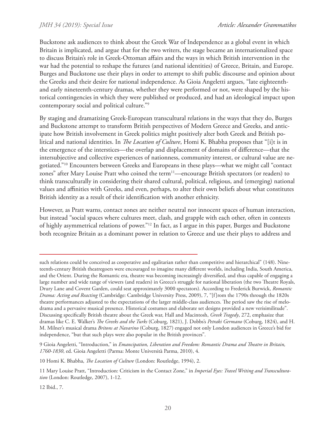Buckstone ask audiences to think about the Greek War of Independence as a global event in which Britain is implicated, and argue that for the two writers, the stage became an internationalized space to discuss Britain's role in Greek-Ottoman affairs and the ways in which British intervention in the war had the potential to reshape the futures (and national identities) of Greece, Britain, and Europe. Burges and Buckstone use their plays in order to attempt to shift public discourse and opinion about the Greeks and their desire for national independence. As Gioia Angeletti argues, "late eighteenthand early nineteenth-century dramas, whether they were performed or not, were shaped by the historical contingencies in which they were published or produced, and had an ideological impact upon contemporary social and political culture."9

By staging and dramatizing Greek-European transcultural relations in the ways that they do, Burges and Buckstone attempt to transform British perspectives of Modern Greece and Greeks, and anticipate how British involvement in Greek politics might positively alter both Greek and British political and national identities. In *The Location of Culture*, Homi K. Bhabha proposes that "[i]t is in the emergence of the interstices—the overlap and displacement of domains of difference—that the intersubjective and collective experiences of nationness, community interest, or cultural value are negotiated."10 Encounters between Greeks and Europeans in these plays—what we might call "contact zones" after Mary Louise Pratt who coined the term<sup>11</sup>—encourage British spectators (or readers) to think transculturally in considering their shared cultural, political, religious, and (emerging) national values and affinities with Greeks, and even, perhaps, to alter their own beliefs about what constitutes British identity as a result of their identification with another ethnicity.

However, as Pratt warns, contact zones are neither neutral nor innocent spaces of human interaction, but instead "social spaces where cultures meet, clash, and grapple with each other, often in contexts of highly asymmetrical relations of power."12 In fact, as I argue in this paper, Burges and Buckstone both recognize Britain as a dominant power in relation to Greece and use their plays to address and

9 Gioia Angeletti, "Introduction," in *Emancipation, Liberation and Freedom: Romantic Drama and Theatre in Britain, 1760-1830*, ed. Gioia Angeletti (Parma: Monte Università Parma, 2010), 4.

10 Homi K. Bhabha, *The Location of Culture* (London: Routledge, 1994), 2.

12 Ibid., 7.

such relations could be conceived as cooperative and egalitarian rather than competitive and hierarchical" (148). Nineteenth-century British theatregoers were encouraged to imagine many different worlds, including India, South America, and the Orient. During the Romantic era, theatre was becoming increasingly diversified, and thus capable of engaging a large number and wide range of viewers (and readers) in Greece's struggle for national liberation (the two Theatre Royals, Drury Lane and Covent Garden, could seat approximately 3000 spectators). According to Frederick Burwick, *Romantic Drama: Acting and Reacting* (Cambridge: Cambridge University Press, 2009), 7, "[f]rom the 1790s through the 1820s theatre performances adjusted to the expectations of the larger middle-class audiences. The period saw the rise of melodrama and a pervasive musical presence. Historical costumes and elaborate set designs provided a new verisimilitude". Discussing specifically British theatre about the Greek war, Hall and Macintosh, *Greek Tragedy*, 272, emphasize that dramas like C. E. Walker's *The Greeks and the Turks* (Coburg, 1821), J. Dobbs's *Petraki Germano* (Coburg, 1824), and H. M. Milner's musical drama *Britons at Navarino* (Coburg, 1827) engaged not only London audiences in Greece's bid for independence, "but that such plays were also popular in the British provinces".

<sup>11</sup> Mary Louise Pratt, "Introduction: Criticism in the Contact Zone," in *Imperial Eyes: Travel Writing and Transculturation* (London: Routledge, 2007), 1-12.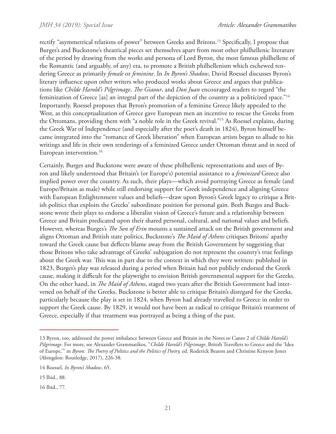rectify "asymmetrical relations of power" between Greeks and Britons.13 Specifically, I propose that Burges's and Buckstone's theatrical pieces set themselves apart from most other philhellenic literature of the period by drawing from the works and persona of Lord Byron, the most famous philhellene of the Romantic (and arguably, of any) era, to promote a British philhellenism which eschewed rendering Greece as primarily *female* or *feminine*. In *In Byron's Shadow*, David Roessel discusses Byron's literary influence upon other writers who produced works about Greece and argues that publications like *Childe Harold's Pilgrimage*, *The Giaour*, and *Don Juan* encouraged readers to regard "the feminization of Greece [as] an integral part of the depiction of the country as a politicized space."14 Importantly, Roessel proposes that Byron's promotion of a feminine Greece likely appealed to the West, as this conceptualization of Greece gave European men an incentive to rescue the Greeks from the Ottomans, providing them with "a noble role in the Greek revival."15 As Roessel explains, during the Greek War of Independence (and especially after the poet's death in 1824), Byron himself became integrated into the "romance of Greek liberation" when European artists began to allude to his writings and life in their own renderings of a feminized Greece under Ottoman threat and in need of European intervention.<sup>16</sup>

Certainly, Burges and Buckstone were aware of these philhellenic representations and uses of Byron and likely understood that Britain's (or Europe's) potential assistance to a *feminized* Greece also implied power over the country. As such, their plays—which avoid portraying Greece as female (and Europe/Britain as male) while still endorsing support for Greek independence and aligning Greece with European Enlightenment values and beliefs—draw upon Byron's Greek legacy to critique a British politics that exploits the Greeks' subordinate position for personal gain. Both Burges and Buckstone wrote their plays to endorse a liberalist vision of Greece's future and a relationship between Greece and Britain predicated upon their shared personal, cultural, and national values and beliefs. However, whereas Burges's *The Son of Erin* mounts a sustained attack on the British government and aligns Ottoman and British state politics, Buckstone's *The Maid of Athens* critiques Britons' apathy toward the Greek cause but deflects blame away from the British Government by suggesting that those Britons who take advantage of Greeks' subjugation do not represent the country's true feelings about the Greek war. This was in part due to the context in which they were written: published in 1823, Burges's play was released during a period when Britain had not publicly endorsed the Greek cause, making it difficult for the playwright to envision British governmental support for the Greeks. On the other hand, in *The Maid of Athens*, staged two years after the British Government had intervened on behalf of the Greeks, Buckstone is better able to critique Britain's disregard for the Greeks, particularly because the play is set in 1824, when Byron had already travelled to Greece in order to support the Greek cause. By 1829, it would not have been as radical to critique Britain's treatment of Greece, especially if that treatment was portrayed as being a thing of the past.

16 Ibid., 77.

<sup>13</sup> Byron, too, addressed the power imbalance between Greece and Britain in the Notes to Canto 2 of *Childe Harold's Pilgrimage*. For more, see Alexander Grammatikos, "*Childe Harold's Pilgrimage*, British Travellers to Greece and the 'Idea of Europe,'" in *Byron: The Poetry of Politics and the Politics of Poetry,* ed. Roderick Beaton and Christine Kenyon Jones (Abingdon: Routledge, 2017), 226-38.

<sup>14</sup> Roessel, *In Byron's Shadow*, 65.

<sup>15</sup> Ibid., 88.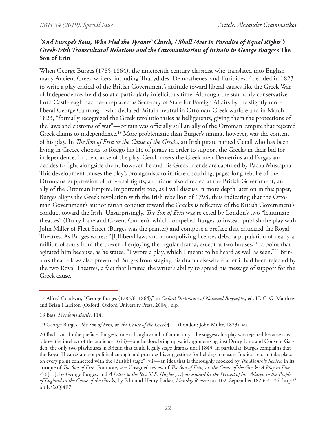# *"And Europe's Sons, Who Fled the Tyrants' Clutch, / Shall Meet in Paradise of Equal Rights": Greek-Irish Transcultural Relations and the Ottomanization of Britain in George Burges's* **The Son of Erin**

When George Burges (1785-1864), the nineteenth-century classicist who translated into English many Ancient Greek writers, including Thucydides, Demosthenes, and Euripides,<sup>17</sup> decided in 1823 to write a play critical of the British Government's attitude toward liberal causes like the Greek War of Independence, he did so at a particularly infelicitous time. Although the staunchly conservative Lord Castlereagh had been replaced as Secretary of State for Foreign Affairs by the slightly more liberal George Canning—who declared Britain neutral in Ottoman-Greek warfare and in March 1823, "formally recognized the Greek revolutionaries as belligerents, giving them the protections of the laws and customs of war"—Britain was officially still an ally of the Ottoman Empire that rejected Greek claims to independence.<sup>18</sup> More problematic than Burges's timing, however, was the content of his play. In *The Son of Erin or the Cause of the Greeks*, an Irish pirate named Gerall who has been living in Greece chooses to forego his life of piracy in order to support the Greeks in their bid for independence. In the course of the play, Gerall meets the Greek men Demetrius and Pargas and decides to fight alongside them; however, he and his Greek friends are captured by Pacha Mustapha. This development causes the play's protagonists to initiate a scathing, pages-long rebuke of the Ottomans' suppression of universal rights, a critique also directed at the British Government, an ally of the Ottoman Empire. Importantly, too, as I will discuss in more depth later on in this paper, Burges aligns the Greek revolution with the Irish rebellion of 1798, thus indicating that the Ottoman Government's authoritarian conduct toward the Greeks is reflective of the British Government's conduct toward the Irish. Unsurprisingly, *The Son of Erin* was rejected by London's two "legitimate theatres" (Drury Lane and Covent Garden), which compelled Burges to instead publish the play with John Miller of Fleet Street (Burges was the printer) and compose a preface that criticized the Royal Theatres. As Burges writes: "[I]lliberal laws and monopolizing licenses debar a population of nearly a million of souls from the power of enjoying the regular drama, except at two houses,"19 a point that agitated him because, as he states, "I wrote a play, which I meant to be heard as well as seen."20 Britain's theatre laws also prevented Burges from staging his drama elsewhere after it had been rejected by the two Royal Theatres, a fact that limited the writer's ability to spread his message of support for the Greek cause.

<sup>17</sup> Alfred Goodwin, "George Burges (1785/6–1864)," in *Oxford Dictionary of National Biography*, ed. H. C. G. Matthew and Brian Harrison (Oxford: Oxford University Press, 2004), n.p.

<sup>18</sup> Bass, *Freedom's Battle*, 114.

<sup>19</sup> George Burges, *The Son of Erin, or, the Cause of the Greeks*[…] (London: John Miller, 1823), vii.

<sup>20</sup> Ibid., viii. In the preface, Burges's tone is haughty and inflammatory—he suggests his play was rejected because it is "above the intellect of the audience" (viii)—but he does bring up valid arguments against Drury Lane and Convent Garden, the only two playhouses in Britain that could legally stage dramas until 1843. In particular, Burges complains that the Royal Theatres are not political enough and provides his suggestions for helping to ensure "radical reform take place on every point connected with the [British] stage" (vii)—an idea that is thoroughly mocked by *The Monthly Review* in its critique of *The Son of Erin*. For more, see: Unsigned review of *The Son of Erin, or, the Cause of the Greeks: A Play in Five Acts*[…], by George Burges, and *A Letter to the Rev. T. S. Hughes*[…] *occasioned by the Perusal of his "Address to the People of England in the Cause of the Greeks*, by Edmund Henry Barker, *Monthly Review* no. 102, September 1823: 31-35. http:// bit.ly/2sQi4E7.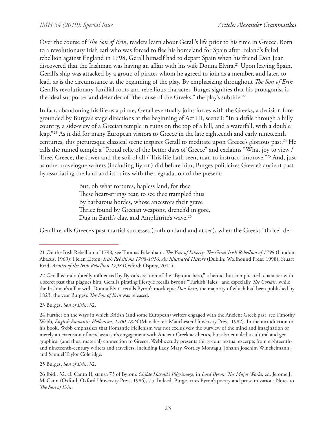Over the course of *The Son of Erin*, readers learn about Gerall's life prior to his time in Greece. Born to a revolutionary Irish earl who was forced to flee his homeland for Spain after Ireland's failed rebellion against England in 1798, Gerall himself had to depart Spain when his friend Don Juan discovered that the Irishman was having an affair with his wife Donna Elvira.<sup>21</sup> Upon leaving Spain, Gerall's ship was attacked by a group of pirates whom he agreed to join as a member, and later, to lead, as is the circumstance at the beginning of the play. By emphasizing throughout *The Son of Erin* Gerall's revolutionary familial roots and rebellious character, Burges signifies that his protagonist is the ideal supporter and defender of "the cause of the Greeks," the play's subtitle.<sup>22</sup>

In fact, abandoning his life as a pirate, Gerall eventually joins forces with the Greeks, a decision foregrounded by Burges's stage directions at the beginning of Act III, scene i: "In a defile through a hilly country, a side-view of a Grecian temple in ruins on the top of a hill, and a waterfall, with a double leap."23 As it did for many European visitors to Greece in the late eighteenth and early nineteenth centuries, this picturesque classical scene inspires Gerall to meditate upon Greece's glorious past.<sup>24</sup> He calls the ruined temple a "Proud relic of the better days of Greece" and exclaims "What joy to view / Thee, Greece, the sower and the soil of all / This life hath seen, man to instruct, improve."<sup>25</sup> And, just as other travelogue writers (including Byron) did before him, Burges politicizes Greece's ancient past by associating the land and its ruins with the degradation of the present:

> But, oh what tortures, hapless land, for thee These heart-strings tear, to see thee trampled thus By barbarous hordes, whose ancestors their grave Thrice found by Grecian weapons, drench'd in gore, Dug in Earth's clay, and Amphitrite's wave.<sup>26</sup>

Gerall recalls Greece's past martial successes (both on land and at sea), when the Greeks "thrice" de-

23 Burges, *Son of Erin*, 32.

25 Burges, *Son of Erin*, 32.

<sup>21</sup> On the Irish Rebellion of 1798, see Thomas Pakenham, *The Year of Liberty: The Great Irish Rebellion of 1798* (London: Abacus, 1969); Helen Litton, *Irish Rebellions 1798-1916: An Illustrated History* (Dublin: Wolfhound Press, 1998); Stuart Reid, *Armies of the Irish Rebellion 1798* (Oxford: Osprey, 2011).

<sup>22</sup> Gerall is undoubtedly influenced by Byron's creation of the "Byronic hero," a heroic, but complicated, character with a secret past that plagues him. Gerall's pirating lifestyle recalls Byron's "Turkish Tales," and especially *The Corsair*, while the Irishman's affair with Donna Elvira recalls Byron's mock epic *Don Juan*, the majority of which had been published by 1823, the year Burges's *The Son of Erin* was released.

<sup>24</sup> Further on the ways in which British (and some European) writers engaged with the Ancient Greek past, see Timothy Webb, *English Romantic Hellenism, 1700-1824* (Manchester: Manchester University Press, 1982). In the introduction to his book, Webb emphasizes that Romantic Hellenism was not exclusively the purview of the mind and imagination or merely an extension of neoclassicism's engagement with Ancient Greek aesthetics, but also entailed a cultural and geographical (and thus, material) connection to Greece. Webb's study presents thirty-four textual excerpts from eighteenthand nineteenth-century writers and travellers, including Lady Mary Wortley Montagu, Johann Joachim Winckelmann, and Samuel Taylor Coleridge.

<sup>26</sup> Ibid., 32. cf. Canto II, stanza 73 of Byron's *Childe Harold's Pilgrimage*, in *Lord Byron: The Major Works*, ed. Jerome J. McGann (Oxford: Oxford University Press, 1986), 75. Indeed, Burges cites Byron's poetry and prose in various Notes to *The Son of Erin*.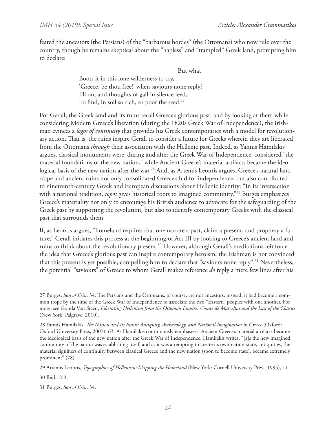feated the ancestors (the Persians) of the "barbarous hordes" (the Ottomans) who now rule over the country, though he remains skeptical about the "hapless" and "trampled" Greek land, prompting him to declare:

But what

Boots it in this lone wilderness to cry, 'Greece, be thou free!' when saviours none reply? I'll on, and thoughts of gall in silence feed, To find, in soil so rich, so poor the seed.<sup>27</sup>

For Gerall, the Greek land and its ruins recall Greece's glorious past, and by looking at them while considering Modern Greece's liberation (during the 1820s Greek War of Independence), the Irishman evinces a *logos of continuity* that provides his Greek contemporaries with a model for revolutionary action. That is, the ruins inspire Gerall to consider a future for Greeks wherein they are liberated from the Ottomans *through* their association with the Hellenic past. Indeed, as Yannis Hamilakis argues, classical monuments were, during and after the Greek War of Independence, considered "the material foundations of the new nation," while Ancient Greece's material artifacts became the ideological basis of the new nation after the war.<sup>28</sup> And, as Artemis Leontis argues, Greece's natural landscape and ancient ruins not only consolidated Greece's bid for independence, but also contributed to nineteenth-century Greek and European discussions about Hellenic identity: "In its intersection with a national tradition, *topos* gives historical roots to imagined community."29 Burges emphasizes Greece's materiality not only to encourage his British audience to advocate for the safeguarding of the Greek past by supporting the revolution, but also to identify contemporary Greeks with the classical past that surrounds them.

If, as Leontis argues, "homeland requires that one narrate a past, claim a present, and prophesy a future," Gerall initiates this process at the beginning of Act III by looking to Greece's ancient land and ruins to think about the revolutionary present.<sup>30</sup> However, although Gerall's meditations reinforce the idea that Greece's glorious past can inspire contemporary heroism, the Irishman is not convinced that this present is yet possible, compelling him to declare that "saviours none reply".<sup>31</sup> Nevertheless, the potential "saviours" of Greece to whom Gerall makes reference *do* reply a mere few lines after his

<sup>27</sup> Burges, *Son of Erin*, 34. The Persians and the Ottomans, of course, are not ancestors; instead, it had become a common trope by the time of the Greek War of Independence to associate the two "Eastern" peoples with one another. For more, see Gonda Van Steen, *Liberating Hellenism from the Ottoman Empire: Comte de Marcellus and the Last of the Classics* (New York: Palgrave, 2010).

<sup>28</sup> Yannis Hamilakis, *The Nation and Its Ruins: Antiquity, Archaeology, and National Imagination in Greece* (Oxford: Oxford University Press, 2007), 63. As Hamilakis continuously emphasizes, Ancient Greece's material artifacts became the ideological basis of the new nation after the Greek War of Independence. Hamilakis writes, "[a]s the new imagined community of the nation was establishing itself, and as it was attempting to create its own nation-state, antiquities, the material signifiers of continuity between classical Greece and the new nation (soon to become state), became extremely prominent" (78).

<sup>29</sup> Artemis Leontis, *Topographies of Hellenism: Mapping the Homeland* (New York: Cornell University Press, 1995), 11.

<sup>30</sup> Ibid., 2-3.

<sup>31</sup> Burges, *Son of Erin*, 34.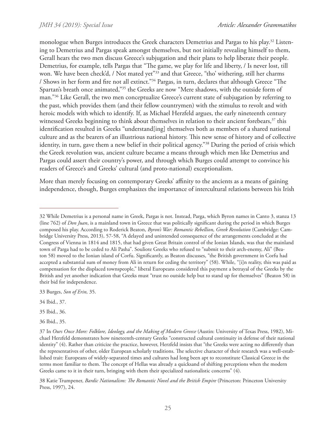monologue when Burges introduces the Greek characters Demetrius and Pargas to his play.32 Listening to Demetrius and Pargas speak amongst themselves, but not initially revealing himself to them, Gerall hears the two men discuss Greece's subjugation and their plans to help liberate their people. Demetrius, for example, tells Pargas that "The game, we play for life and liberty, / Is never lost, till won. We have been check'd, / Not mated yet<sup>"33</sup> and that Greece, "tho' withering, still her charms / Shows in her form and fire not all extinct."34 Pargas, in turn, declares that although Greece "The Spartan's breath once animated,"35 the Greeks are now "Mere shadows, with the outside form of man."36 Like Gerall, the two men conceptualize Greece's current state of subjugation by referring to the past, which provides them (and their fellow countrymen) with the stimulus to revolt and with heroic models with which to identify. If, as Michael Herzfeld argues, the early nineteenth century witnessed Greeks beginning to think about themselves in relation to their ancient forebears,<sup>37</sup> this identification resulted in Greeks "understand[ing] themselves both as members of a shared national culture and as the bearers of an illustrious national history. This new sense of history and of collective identity, in turn, gave them a new belief in their political agency."<sup>38</sup> During the period of crisis which the Greek revolution was, ancient culture became a means through which men like Demetrius and Pargas could assert their country's power, and through which Burges could attempt to convince his readers of Greece's and Greeks' cultural (and proto-national) exceptionalism.

More than merely focusing on contemporary Greeks' affinity to the ancients as a means of gaining independence, though, Burges emphasizes the importance of intercultural relations between his Irish

33 Burges, *Son of Erin,* 35.

38 Katie Trumpener, *Bardic Nationalism: The Romantic Novel and the British Empire* (Princeton: Princeton University Press, 1997), 24.

<sup>32</sup> While Demetrius is a personal name in Greek, Pargas is not. Instead, Parga, which Byron names in Canto 3, stanza 13 (line 762) of *Don Juan*, is a mainland town in Greece that was politically significant during the period in which Burges composed his play. According to Roderick Beaton, *Byron's War: Romantic Rebellion, Greek Revolution* (Cambridge: Cambridge University Press, 2013), 57-58, "A delayed and unintended consequence of the arrangements concluded at the Congress of Vienna in 1814 and 1815, that had given Great Britain control of the Ionian Islands, was that the mainland town of Parga had to be ceded to Ali Pasha". Souliote Greeks who refused to "submit to their arch-enemy, Ali" (Beaton 58) moved to the Ionian island of Corfu. Significantly, as Beaton discusses, "the British government in Corfu had accepted a substantial sum of money from Ali in return for ceding the territory" (58). While, "[i]n reality, this was paid as compensation for the displaced townspeople," liberal Europeans considered this payment a betrayal of the Greeks by the British and yet another indication that Greeks must "trust no outside help but to stand up for themselves" (Beaton 58) in their bid for independence.

<sup>34</sup> Ibid., 37.

<sup>35</sup> Ibid., 36.

<sup>36</sup> Ibid., 35.

<sup>37</sup> In *Ours Once More: Folklore, Ideology, and the Making of Modern Greece* (Austin: University of Texas Press, 1982), Michael Herzfeld demonstrates how nineteenth-century Greeks "constructed cultural continuity in defense of their national identity" (4). Rather than criticize the practice, however, Herzfeld insists that "the Greeks were acting no differently than the representatives of other, older European scholarly traditions. The selective character of their research was a well-established trait: Europeans of widely-separated times and cultures had long been apt to reconstitute Classical Greece in the terms most familiar to them. The concept of Hellas was already a quicksand of shifting perceptions when the modern Greeks came to it in their turn, bringing with them their specialized nationalistic concerns" (4).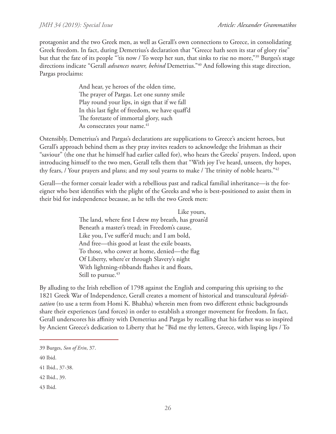protagonist and the two Greek men, as well as Gerall's own connections to Greece, in consolidating Greek freedom. In fact, during Demetrius's declaration that "Greece hath seen its star of glory rise" but that the fate of its people "'tis now / To weep her sun, that sinks to rise no more,"<sup>39</sup> Burges's stage directions indicate "Gerall *advances nearer, behind* Demetrius."40 And following this stage direction, Pargas proclaims:

> And hear, ye heroes of the olden time, The prayer of Pargas. Let one sunny smile Play round your lips, in sign that if we fall In this last fight of freedom, we have quaff'd The foretaste of immortal glory, such As consecrates your name.<sup>41</sup>

Ostensibly, Demetrius's and Pargas's declarations are supplications to Greece's ancient heroes, but Gerall's approach behind them as they pray invites readers to acknowledge the Irishman as their "saviour" (the one that he himself had earlier called for), who hears the Greeks' prayers. Indeed, upon introducing himself to the two men, Gerall tells them that "With joy I've heard, unseen, thy hopes, thy fears, / Your prayers and plans; and my soul yearns to make / The trinity of noble hearts."42

Gerall—the former corsair leader with a rebellious past and radical familial inheritance—is the foreigner who best identifies with the plight of the Greeks and who is best-positioned to assist them in their bid for independence because, as he tells the two Greek men:

> Like yours, The land, where first I drew my breath, has groan'd Beneath a master's tread; in Freedom's cause, Like you, I've suffer'd much; and I am bold, And free—this good at least the exile boasts, To those, who cower at home, denied—the flag Of Liberty, where'er through Slavery's night With lightning-ribbands flashes it and floats, Still to pursue.<sup>43</sup>

By alluding to the Irish rebellion of 1798 against the English and comparing this uprising to the 1821 Greek War of Independence, Gerall creates a moment of historical and transcultural *hybridization* (to use a term from Homi K. Bhabha) wherein men from two different ethnic backgrounds share their experiences (and forces) in order to establish a stronger movement for freedom. In fact, Gerall underscores his affinity with Demetrius and Pargas by recalling that his father was so inspired by Ancient Greece's dedication to Liberty that he "Bid me thy letters, Greece, with lisping lips / To

43 Ibid.

<sup>39</sup> Burges, *Son of Erin*, 37.

<sup>40</sup> Ibid.

<sup>41</sup> Ibid., 37-38.

<sup>42</sup> Ibid., 39.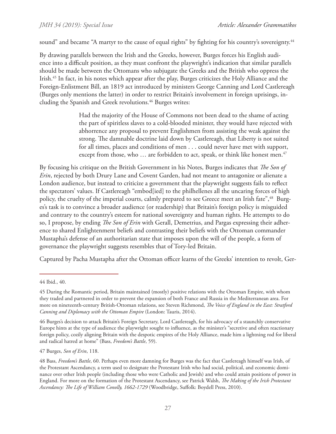sound" and became "A martyr to the cause of equal rights" by fighting for his country's sovereignty.<sup>44</sup>

By drawing parallels between the Irish and the Greeks, however, Burges forces his English audience into a difficult position, as they must confront the playwright's indication that similar parallels should be made between the Ottomans who subjugate the Greeks and the British who oppress the Irish.45 In fact, in his notes which appear after the play, Burges criticizes the Holy Alliance and the Foreign-Enlistment Bill, an 1819 act introduced by ministers George Canning and Lord Castlereagh (Burges only mentions the latter) in order to restrict Britain's involvement in foreign uprisings, including the Spanish and Greek revolutions.<sup>46</sup> Burges writes:

> Had the majority of the House of Commons not been dead to the shame of acting the part of spiritless slaves to a cold-blooded minister, they would have rejected with abhorrence any proposal to prevent Englishmen from assisting the weak against the strong. The damnable doctrine laid down by Castlereagh, that Liberty is not suited for all times, places and conditions of men . . . could never have met with support, except from those, who ... are forbidden to act, speak, or think like honest men.<sup>47</sup>

By focusing his critique on the British Government in his Notes, Burges indicates that *The Son of Erin*, rejected by both Drury Lane and Covent Garden, had not meant to antagonize or alienate a London audience, but instead to criticize a government that the playwright suggests fails to reflect the spectators' values. If Castlereagh "embod[ied] to the philhellenes all the uncaring forces of high policy, the cruelty of the imperial courts, calmly prepared to see Greece meet an Irish fate", <sup>48</sup> Burges's task is to convince a broader audience (or readership) that Britain's foreign policy is misguided and contrary to the country's esteem for national sovereignty and human rights. He attempts to do so, I propose, by ending *The Son of Erin* with Gerall, Demetrius, and Pargas expressing their adherence to shared Enlightenment beliefs and contrasting their beliefs with the Ottoman commander Mustapha's defense of an authoritarian state that imposes upon the will of the people, a form of governance the playwright suggests resembles that of Tory-led Britain.

Captured by Pacha Mustapha after the Ottoman officer learns of the Greeks' intention to revolt, Ger-

47 Burges, *Son of Erin*, 118.

<sup>44</sup> Ibid., 40.

<sup>45</sup> During the Romantic period, Britain maintained (mostly) positive relations with the Ottoman Empire, with whom they traded and partnered in order to prevent the expansion of both France and Russia in the Mediterranean area. For more on nineteenth-century British-Ottoman relations, see Steven Richmond, *The Voice of England in the East: Stratford Canning and Diplomacy with the Ottoman Empire* (London: Tauris, 2014).

<sup>46</sup> Burges's decision to attack Britain's Foreign Secretary, Lord Castlereagh, for his advocacy of a staunchly conservative Europe hints at the type of audience the playwright sought to influence, as the minister's "secretive and often reactionary foreign policy, cozily aligning Britain with the despotic empires of the Holy Alliance, made him a lightning rod for liberal and radical hatred at home" (Bass, *Freedom's Battle*, 59).

<sup>48</sup> Bass, *Freedom's Battle*, 60. Perhaps even more damning for Burges was the fact that Castlereagh himself was Irish, of the Protestant Ascendancy, a term used to designate the Protestant Irish who had social, political, and economic dominance over other Irish people (including those who were Catholic and Jewish) and who could attain positions of power in England. For more on the formation of the Protestant Ascendancy, see Patrick Walsh, *The Making of the Irish Protestant Ascendancy: The Life of William Conolly, 1662-1729* (Woodbridge, Suffolk: Boydell Press, 2010).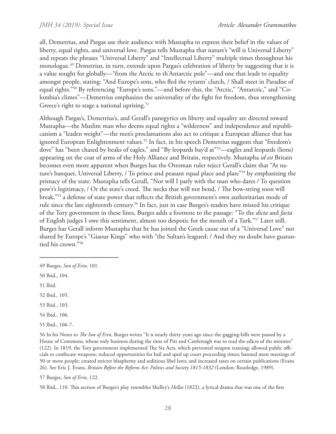all, Demetrius, and Pargas use their audience with Mustapha to express their belief in the values of liberty, equal rights, and universal love. Pargas tells Mustapha that nature's "will is Universal Liberty" and repeats the phrases "Universal Liberty" and "Intellectual Liberty" multiple times throughout his monologue.49 Demetrius, in turn, extends upon Pargas's celebration of liberty by suggesting that it is a value sought for globally—"from the Arctic to th'Antarctic pole"—and one that leads to equality amongst people, stating: "And Europe's sons, who fled the tyrants' clutch, / Shall meet in Paradise of equal rights."50 By referencing "Europe's sons,"—and before this, the "Arctic," "Antarctic," and "Colombia's climes"—Demetrius emphasizes the universality of the fight for freedom, thus strengthening Greece's right to stage a national uprising.<sup>51</sup>

Although Pargas's, Demetrius's, and Gerall's panegyrics on liberty and equality are directed toward Mustapha—the Muslim man who deems equal rights a "wilderness" and independence and republicanism a "leaden weight"—the men's proclamations also act to critique a European alliance that has ignored European Enlightenment values.<sup>52</sup> In fact, in his speech Demetrius suggests that "freedom's dove" has "been chased by beaks of eagles," and "By leopards bay'd at"53—eagles and leopards (lions) appearing on the coat of arms of the Holy Alliance and Britain, respectively. Mustapha *id est* Britain becomes even more apparent when Burges has the Ottoman ruler reject Gerall's claim that "At nature's banquet, Universal Liberty, / To prince and peasant equal place and plate<sup>"54</sup> by emphasizing the primacy of the state. Mustapha tells Gerall, "Nor will I parly with the man who dares / To question pow'r's legitimacy, / Or the state's creed. The necks that will not bend, / The bow-string soon will break,"55 a defense of state power that reflects the British government's own authoritarian mode of rule since the late eighteenth century.<sup>56</sup> In fact, just in case Burges's readers have missed his critique of the Tory government in these lines, Burges adds a footnote to the passage: "To the *dicta* and *facta* of English judges I owe this sentiment, almost too despotic for the mouth of a Turk."57 Later still, Burges has Gerall inform Mustapha that he has joined the Greek cause out of a "Universal Love" not shared by Europe's "Giaour Kings" who with "the Sultan's leagued; / And they no doubt have guarantied his crown."58

- 54 Ibid., 106.
- 55 Ibid., 106-7.

56 In his Notes to *The Son of Erin*, Burges writes "It is nearly thirty years ago since the gagging-bills were passed by a House of Commons, whose only business during the time of Pitt and Castlereagh was to read the edicts of the minister" (122). In 1819, the Tory government implemented The Six Acts, which prevented weapon training; allowed public officials to confiscate weapons; reduced opportunities for bail and sped up court proceeding times; banned most meetings of 50 or more people; created stricter blasphemy and seditious libel laws; and increased taxes on certain publications (Evans 26). See Eric J. Evans, *Britain Before the Reform Act: Politics and Society 1815-1832* (London: Routledge, 1989).

57 Burges, *Son of Erin*, 122.

58 Ibid., 110. This section of Burges's play resembles Shelley's *Hellas* (1822), a lyrical drama that was one of the first

<sup>49</sup> Burges, *Son of Erin*, 101.

<sup>50</sup> Ibid., 104.

<sup>51</sup> Ibid.

<sup>52</sup> Ibid., 105.

<sup>53</sup> Ibid., 103.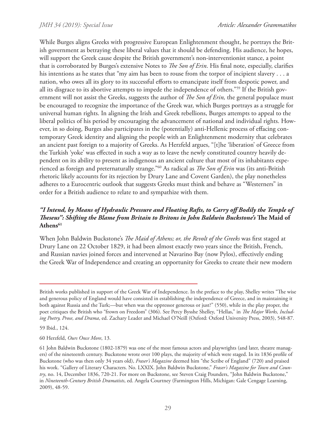While Burges aligns Greeks with progressive European Enlightenment thought, he portrays the British government as betraying these liberal values that it should be defending. His audience, he hopes, will support the Greek cause despite the British government's non-interventionist stance, a point that is corroborated by Burges's extensive Notes to *The Son of Erin*. His final note, especially, clarifies his intentions as he states that "my aim has been to rouse from the torpor of incipient slavery . . . a nation, who owes all its glory to its successful efforts to emancipate itself from despotic power, and all its disgrace to its abortive attempts to impede the independence of others."59 If the British government will not assist the Greeks, suggests the author of *The Son of Erin,* the general populace must be encouraged to recognize the importance of the Greek war, which Burges portrays as a struggle for universal human rights. In aligning the Irish and Greek rebellions, Burges attempts to appeal to the liberal politics of his period by encouraging the advancement of national and individual rights. However, in so doing, Burges also participates in the (potentially) anti-Hellenic process of effacing contemporary Greek identity and aligning the people with an Enlightenment modernity that celebrates an ancient past foreign to a majority of Greeks. As Herzfeld argues, "[t]he 'liberation' of Greece from the Turkish 'yoke' was effected in such a way as to leave the newly constituted country heavily dependent on its ability to present as indigenous an ancient culture that most of its inhabitants experienced as foreign and preternaturally strange."60 As radical as *The Son of Erin* was (its anti-British rhetoric likely accounts for its rejection by Drury Lane and Covent Garden), the play nonetheless adheres to a Eurocentric outlook that suggests Greeks must think and behave as "Westerners" in order for a British audience to relate to and sympathize with them.

# *"I Intend, by Means of Hydraulic Pressure and Floating Rafts, to Carry off Bodily the Temple of Theseus": Shifting the Blame from Britain to Britons in John Baldwin Buckstone's* **The Maid of**  Athens<sup>61</sup>

When John Baldwin Buckstone's *The Maid of Athens; or, the Revolt of the Greeks* was first staged at Drury Lane on 22 October 1829, it had been almost exactly two years since the British, French, and Russian navies joined forces and intervened at Navarino Bay (now Pylos), effectively ending the Greek War of Independence and creating an opportunity for Greeks to create their new modern

British works published in support of the Greek War of Independence. In the preface to the play, Shelley writes "The wise and generous policy of England would have consisted in establishing the independence of Greece, and in maintaining it both against Russia and the Turk;—but when was the oppressor generous or just?" (550), while in the play proper, the poet critiques the British who "frown on Freedom" (306). See Percy Bysshe Shelley, "Hellas," in *The Major Works, Including Poetry, Prose, and Drama*, ed. Zachary Leader and Michael O'Neill (Oxford: Oxford University Press, 2003), 548-87.

<sup>59</sup> Ibid., 124.

<sup>60</sup> Herzfeld, *Ours Once More*, 13.

<sup>61</sup> John Baldwin Buckstone (1802-1879) was one of the most famous actors and playwrights (and later, theatre managers) of the nineteenth century. Buckstone wrote over 100 plays, the majority of which were staged. In its 1836 profile of Buckstone (who was then only 34 years old), *Fraser's Magazine* deemed him "the Scribe of England" (720) and praised his work. "Gallery of Literary Characters. No. LXXIX. John Baldwin Buckstone," *Fraser's Magazine for Town and Country*, no. 14, December 1836, 720-21. For more on Buckstone, see Steven Craig Pounders, "John Baldwin Buckstone," in *Nineteenth-Century British Dramatists*, ed. Angela Courtney (Farmington Hills, Michigan: Gale Cengage Learning, 2009), 48-59.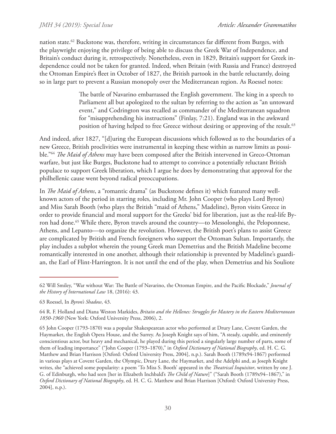nation state.<sup>62</sup> Buckstone was, therefore, writing in circumstances far different from Burges, with the playwright enjoying the privilege of being able to discuss the Greek War of Independence, and Britain's conduct during it, retrospectively. Nonetheless, even in 1829, Britain's support for Greek independence could not be taken for granted. Indeed, when Britain (with Russia and France) destroyed the Ottoman Empire's fleet in October of 1827, the British partook in the battle reluctantly, doing so in large part to prevent a Russian monopoly over the Mediterranean region. As Roessel notes:

> The battle of Navarino embarrassed the English government. The king in a speech to Parliament all but apologized to the sultan by referring to the action as "an untoward event," and Codrington was recalled as commander of the Mediterranean squadron for "misapprehending his instructions" (Finlay, 7:21). England was in the awkward position of having helped to free Greece without desiring or approving of the result.<sup>63</sup>

And indeed, after 1827, "[d]uring the European discussions which followed as to the boundaries of a new Greece, British proclivities were instrumental in keeping these within as narrow limits as possible."64 *The Maid of Athens* may have been composed after the British intervened in Greco-Ottoman warfare, but just like Burges, Buckstone had to attempt to convince a potentially reluctant British populace to support Greek liberation, which I argue he does by demonstrating that approval for the philhellenic cause went beyond radical preoccupations.

In *The Maid of Athens*, a "romantic drama" (as Buckstone defines it) which featured many wellknown actors of the period in starring roles, including Mr. John Cooper (who plays Lord Byron) and Miss Sarah Booth (who plays the British "maid of Athens," Madeline), Byron visits Greece in order to provide financial and moral support for the Greeks' bid for liberation, just as the real-life Byron had done.<sup>65</sup> While there, Byron travels around the country--to Messolonghi, the Peloponnese, Athens, and Lepanto—to organize the revolution. However, the British poet's plans to assist Greece are complicated by British and French foreigners who support the Ottoman Sultan. Importantly, the play includes a subplot wherein the young Greek man Demetrius and the British Madeline become romantically interested in one another, although their relationship is prevented by Madeline's guardian, the Earl of Flint-Harrington. It is not until the end of the play, when Demetrius and his Souliote

<sup>62</sup> Will Smiley, "War without War: The Battle of Navarino, the Ottoman Empire, and the Pacific Blockade," *Journal of the History of International Law* 18, (2016): 43.

<sup>63</sup> Roessel, In *Byron's Shadow*, 43.

<sup>64</sup> R. F. Holland and Diana Weston Markides, *Britain and the Hellenes: Struggles for Mastery in the Eastern Mediterranean 1850-1960* (New York: Oxford University Press, 2006), 2.

<sup>65</sup> John Cooper (1793-1870) was a popular Shakespearean actor who performed at Drury Lane, Covent Garden, the Haymarket, the English Opera House, and the Surrey. As Joseph Knight says of him, "A steady, capable, and eminently conscientious actor, but heavy and mechanical, he played during this period a singularly large number of parts, some of them of leading importance" ("John Cooper (1793–1870)," in *Oxford Dictionary of National Biography*, ed. H. C. G. Matthew and Brian Harrison [Oxford: Oxford University Press, 2004], n.p.). Sarah Booth (1789x94-1867) performed in various plays at Covent Garden, the Olympic, Drury Lane, the Haymarket, and the Adelphi and, as Joseph Knight writes, she "achieved some popularity: a poem 'To Miss S. Booth' appeared in the *Theatrical Inquisitor*, written by one J. G. of Edinburgh, who had seen [her in Elizabeth Inchbald's *The Child of Nature*]" ("Sarah Booth (1789x94–1867)," in *Oxford Dictionary of National Biography*, ed. H. C. G. Matthew and Brian Harrison [Oxford: Oxford University Press, 2004], n.p.).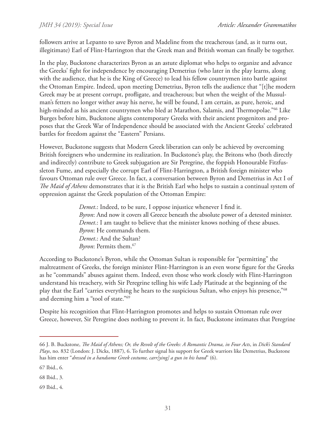followers arrive at Lepanto to save Byron and Madeline from the treacherous (and, as it turns out, illegitimate) Earl of Flint-Harrington that the Greek man and British woman can finally be together.

In the play, Buckstone characterizes Byron as an astute diplomat who helps to organize and advance the Greeks' fight for independence by encouraging Demetrius (who later in the play learns, along with the audience, that he is the King of Greece) to lead his fellow countrymen into battle against the Ottoman Empire. Indeed, upon meeting Demetrius, Byron tells the audience that "[t]he modern Greek may be at present corrupt, profligate, and treacherous; but when the weight of the Mussulman's fetters no longer wither away his nerve, he will be found, I am certain, as pure, heroic, and high-minded as his ancient countrymen who bled at Marathon, Salamis, and Thermopolae."<sup>66</sup> Like Burges before him, Buckstone aligns contemporary Greeks with their ancient progenitors and proposes that the Greek War of Independence should be associated with the Ancient Greeks' celebrated battles for freedom against the "Eastern" Persians.

However, Buckstone suggests that Modern Greek liberation can only be achieved by overcoming British foreigners who undermine its realization. In Buckstone's play, the Britons who (both directly and indirectly) contribute to Greek subjugation are Sir Peregrine, the foppish Honourable Fitzfussleton Fume, and especially the corrupt Earl of Flint-Harrington, a British foreign minister who favours Ottoman rule over Greece. In fact, a conversation between Byron and Demetrius in Act I of *The Maid of Athens* demonstrates that it is the British Earl who helps to sustain a continual system of oppression against the Greek population of the Ottoman Empire:

> *Demet*.: Indeed, to be sure, I oppose injustice whenever I find it. *Byron*: And now it covers all Greece beneath the absolute power of a detested minister. *Demet*.: I am taught to believe that the minister knows nothing of these abuses. *Byron*: He commands them. *Demet*.: And the Sultan? *Byron*: Permits them.<sup>67</sup>

According to Buckstone's Byron, while the Ottoman Sultan is responsible for "permitting" the maltreatment of Greeks, the foreign minister Flint-Harrington is an even worse figure for the Greeks as he "commands" abuses against them. Indeed, even those who work closely with Flint-Harrington understand his treachery, with Sir Peregrine telling his wife Lady Platitude at the beginning of the play that the Earl "carries everything he hears to the suspicious Sultan, who enjoys his presence,"68 and deeming him a "tool of state."69

Despite his recognition that Flint-Harrington promotes and helps to sustain Ottoman rule over Greece, however, Sir Peregrine does nothing to prevent it. In fact, Buckstone intimates that Peregrine

68 Ibid., 3.

69 Ibid., 4.

<sup>66</sup> J. B. Buckstone, *The Maid of Athens; Or, the Revolt of the Greeks: A Romantic Drama, in Four Acts*, in *Dick's Standard Plays*, no. 832 (London: J. Dicks, 1887), 6. To further signal his support for Greek warriors like Demetrius, Buckstone has him enter "*dressed in a handsome Greek costume, carr[ying] a gun in his hand*" (6).

<sup>67</sup> Ibid., 6.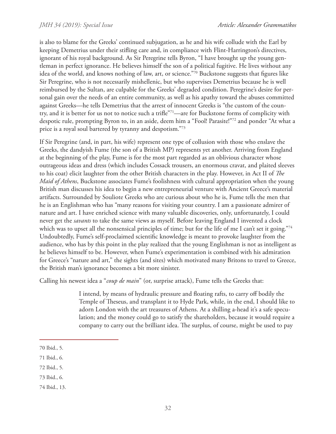is also to blame for the Greeks' continued subjugation, as he and his wife collude with the Earl by keeping Demetrius under their stifling care and, in compliance with Flint-Harrington's directives, ignorant of his royal background. As Sir Peregrine tells Byron, "I have brought up the young gentleman in perfect ignorance. He believes himself the son of a political fugitive. He lives without any idea of the world, and knows nothing of law, art, or science."70 Buckstone suggests that figures like Sir Peregrine, who is not necessarily mishellenic, but who supervises Demetrius because he is well reimbursed by the Sultan, are culpable for the Greeks' degraded condition. Peregrine's desire for personal gain over the needs of an entire community, as well as his apathy toward the abuses committed against Greeks—he tells Demetrius that the arrest of innocent Greeks is "the custom of the country, and it is better for us not to notice such a trifle"71—are for Buckstone forms of complicity with despotic rule, prompting Byron to, in an aside, deem him a "Fool! Parasite!"72 and ponder "At what a price is a royal soul bartered by tyranny and despotism."73

If Sir Peregrine (and, in part, his wife) represent one type of collusion with those who enslave the Greeks, the dandyish Fume (the son of a British MP) represents yet another. Arriving from England at the beginning of the play, Fume is for the most part regarded as an oblivious character whose outrageous ideas and dress (which includes Cossack trousers, an enormous cravat, and plaited sleeves to his coat) elicit laughter from the other British characters in the play. However, in Act II of *The Maid of Athens*, Buckstone associates Fume's foolishness with cultural appropriation when the young British man discusses his idea to begin a new entrepreneurial venture with Ancient Greece's material artifacts. Surrounded by Souliote Greeks who are curious about who he is, Fume tells the men that he is an Englishman who has "many reasons for visiting your country. I am a passionate admirer of nature and art. I have enriched science with many valuable discoveries, only, unfortunately, I could never get the *savants* to take the same views as myself. Before leaving England I invented a clock which was to upset all the nonsensical principles of time; but for the life of me I can't set it going."74 Undoubtedly, Fume's self-proclaimed scientific knowledge is meant to provoke laughter from the audience, who has by this point in the play realized that the young Englishman is not as intelligent as he believes himself to be. However, when Fume's experimentation is combined with his admiration for Greece's "nature and art," the sights (and sites) which motivated many Britons to travel to Greece, the British man's ignorance becomes a bit more sinister.

Calling his newest idea a "*coup de main*" (or, surprise attack), Fume tells the Greeks that:

I intend, by means of hydraulic pressure and floating rafts, to carry off bodily the Temple of Theseus, and transplant it to Hyde Park, while, in the end, I should like to adorn London with the art treasures of Athens. At a shilling a-head it's a safe speculation; and the money could go to satisfy the shareholders, because it would require a company to carry out the brilliant idea. The surplus, of course, might be used to pay

<sup>70</sup> Ibid., 5.

<sup>71</sup> Ibid., 6.

<sup>72</sup> Ibid., 5.

<sup>73</sup> Ibid., 6.

<sup>74</sup> Ibid., 13.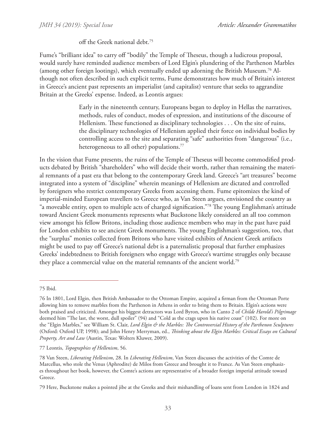off the Greek national debt.75

Fume's "brilliant idea" to carry off "bodily" the Temple of Theseus, though a ludicrous proposal, would surely have reminded audience members of Lord Elgin's plundering of the Parthenon Marbles (among other foreign lootings), which eventually ended up adorning the British Museum.76 Although not often described in such explicit terms, Fume demonstrates how much of Britain's interest in Greece's ancient past represents an imperialist (and capitalist) venture that seeks to aggrandize Britain at the Greeks' expense. Indeed, as Leontis argues:

> Early in the nineteenth century, Europeans began to deploy in Hellas the narratives, methods, rules of conduct, modes of expression, and institutions of the discourse of Hellenism. These functioned as disciplinary technologies . . . On the site of ruins, the disciplinary technologies of Hellenism applied their force on individual bodies by controlling access to the site and separating "safe" authorities from "dangerous" (i.e., heterogeneous to all other) populations.<sup>77</sup>

In the vision that Fume presents, the ruins of the Temple of Theseus will become commodified products debated by British "shareholders" who will decide their worth, rather than remaining the material remnants of a past era that belong to the contemporary Greek land. Greece's "art treasures" become integrated into a system of "discipline" wherein meanings of Hellenism are dictated and controlled by foreigners who restrict contemporary Greeks from accessing them. Fume epitomizes the kind of imperial-minded European travellers to Greece who, as Van Steen argues, envisioned the country as "a moveable entity, open to multiple acts of charged signification."78 The young Englishman's attitude toward Ancient Greek monuments represents what Buckstone likely considered an all too common view amongst his fellow Britons, including those audience members who may in the past have paid for London exhibits to see ancient Greek monuments. The young Englishman's suggestion, too, that the "surplus" monies collected from Britons who have visited exhibits of Ancient Greek artifacts might be used to pay off Greece's national debt is a paternalistic proposal that further emphasizes Greeks' indebtedness to British foreigners who engage with Greece's wartime struggles only because they place a commercial value on the material remnants of the ancient world.<sup>79</sup>

<sup>75</sup> Ibid.

<sup>76</sup> In 1801, Lord Elgin, then British Ambassador to the Ottoman Empire, acquired a firman from the Ottoman Porte allowing him to remove marbles from the Parthenon in Athens in order to bring them to Britain. Elgin's actions were both praised and criticized. Amongst his biggest detractors was Lord Byron, who in Canto 2 of *Childe Harold's Pilgrimage* deemed him "The last, the worst, dull spoiler" (94) and "Cold as the crags upon his native coast" (102). For more on the "Elgin Marbles," see William St. Clair, *Lord Elgin & the Marbles: The Controversial History of the Parthenon Sculptures* (Oxford: Oxford UP, 1998); and John Henry Merryman, ed., *Thinking about the Elgin Marbles: Critical Essays on Cultural Property, Art and Law* (Austin, Texas: Wolters Kluwer, 2009).

<sup>77</sup> Leontis, *Topographies of Hellenism*, 56.

<sup>78</sup> Van Steen, *Liberating Hellenism*, 28. In *Liberating Hellenism*, Van Steen discusses the activities of the Comte de Marcellus, who stole the Venus (Aphrodite) de Milos from Greece and brought it to France. As Van Steen emphasizes throughout her book, however, the Comte's actions are representative of a broader foreign imperial attitude toward Greece.

<sup>79</sup> Here, Buckstone makes a pointed jibe at the Greeks and their mishandling of loans sent from London in 1824 and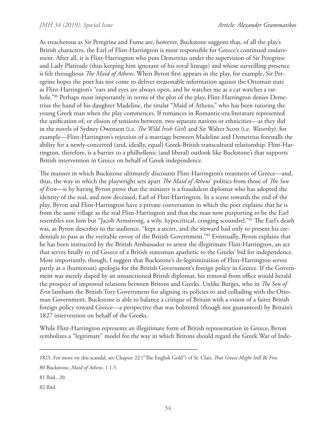As treacherous as Sir Peregrine and Fume are, however, Buckstone suggests that, of all the play's British characters, the Earl of Flint-Harrington is most responsible for Greece's continued enslavement. After all, it is Flint-Harrington who puts Demetrius under the supervision of Sir Peregrine and Lady Platitude (thus keeping him ignorant of his royal lineage) and whose surveilling presence is felt throughout *The Maid of Athens*. When Byron first appears in the play, for example, Sir Peregrine hopes the poet has not come to deliver treasonable information against the Ottoman state as Flint-Harrington's "ears and eyes are always open, and he watches me as a cat watches a rathole.<sup>"80</sup> Perhaps most importantly in terms of the plot of the play, Flint-Harrington denies Demetrius the hand of his daughter Madeline, the titular "Maid of Athens," who has been tutoring the young Greek man when the play commences. If romances in Romantic-era literature represented the unification of, or elision of tensions between, two separate nations or ethnicities—as they did in the novels of Sydney Owenson (i.e. *The Wild Irish Girl*) and Sir Walter Scott (i.e. *Waverley*), for example—Flint-Harrington's rejection of a marriage between Madeline and Demetrius forestalls the ability for a newly-conceived (and, ideally, equal) Greek-British transcultural relationship. Flint-Harrington, therefore, is a barrier to a philhellenic (and liberal) outlook like Buckstone's that supports British intervention in Greece on behalf of Greek independence.

The manner in which Buckstone ultimately discounts Flint-Harrington's treatment of Greece—and, thus, the way in which the playwright sets apart *The Maid of Athens*' politics from those of *The Son of Erin*—is by having Byron prove that the minister is a fraudulent diplomat who has adopted the identity of the real, and now deceased, Earl of Flint-Harrington. In a scene towards the end of the play, Byron and Flint-Harrington have a private conversation in which the poet explains that he is from the same village as the real Flint-Harrington and that the man now purporting to be the Earl resembles not him but "Jacob Armstrong, a wily, hypocritical, cringing scoundrel."81 The Earl's death was, as Byron describes to the audience, "kept a secret, and the steward had only to present his credentials to pass as the veritable envoy of the British Government."82 Eventually, Byron explains that he has been instructed by the British Ambassador to arrest the illegitimate Flint-Harrington, an act that serves finally to rid Greece of a British statesman apathetic to the Greeks' bid for independence. More importantly, though, I suggest that Buckstone's de-legitimization of Flint-Harrington serves partly as a (humorous) apologia for the British Government's foreign policy in Greece. If the Government was merely duped by an unsanctioned British diplomat, his removal from office would herald the prospect of improved relations between Britons and Greeks. Unlike Burges, who in *The Son of Erin* lambasts the British Tory Government for aligning its policies to and colluding with the Ottoman Government, Buckstone is able to balance a critique of Britain with a vision of a fairer British foreign policy toward Greece—a perspective that was bolstered (though not guaranteed) by Britain's 1827 intervention on behalf of the Greeks.

While Flint-Harrington represents an illegitimate form of British representation in Greece, Byron symbolizes a "legitimate" model for the way in which Britons should regard the Greek War of Inde-

<sup>1825.</sup> For more on this scandal, see Chapter 22 ("The English Gold") of St. Clair, *That Greece Might Still Be Free*.

<sup>80</sup> Buckstone, *Maid of Athens*, 1.1.5.

<sup>81</sup> Ibid., 20.

<sup>82</sup> Ibid.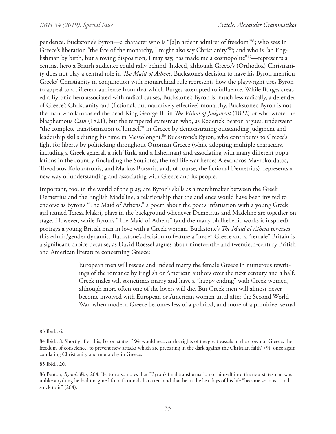pendence. Buckstone's Byron—a character who is "[a]n ardent admirer of freedom"83; who sees in Greece's liberation "the fate of the monarchy, I might also say Christianity"<sup>84</sup>; and who is "an Englishman by birth, but a roving disposition, I may say, has made me a cosmopolite<sup>"85</sup>—represents a centrist hero a British audience could rally behind. Indeed, although Greece's (Orthodox) Christianity does not play a central role in *The Maid of Athens*, Buckstone's decision to have his Byron mention Greeks' Christianity in conjunction with monarchical rule represents how the playwright uses Byron to appeal to a different audience from that which Burges attempted to influence. While Burges created a Byronic hero associated with radical causes, Buckstone's Byron is, much less radically, a defender of Greece's Christianity and (fictional, but narratively effective) monarchy. Buckstone's Byron is not the man who lambasted the dead King George III in *The Vision of Judgment* (1822) or who wrote the blasphemous *Cain* (1821), but the tempered statesman who, as Roderick Beaton argues, underwent "the complete transformation of himself" in Greece by demonstrating outstanding judgment and leadership skills during his time in Messolonghi.<sup>86</sup> Buckstone's Byron, who contributes to Greece's fight for liberty by politicking throughout Ottoman Greece (while adopting multiple characters, including a Greek general, a rich Turk, and a fisherman) and associating with many different populations in the country (including the Souliotes, the real life war heroes Alexandros Mavrokordatos, Theodoros Kolokotronis, and Markos Botsaris, and, of course, the fictional Demetrius), represents a new way of understanding and associating with Greece and its people.

Important, too, in the world of the play, are Byron's skills as a matchmaker between the Greek Demetrius and the English Madeline, a relationship that the audience would have been invited to endorse as Byron's "The Maid of Athens," a poem about the poet's infatuation with a young Greek girl named Teresa Makri, plays in the background whenever Demetrius and Madeline are together on stage. However, while Byron's "The Maid of Athens" (and the many philhellenic works it inspired) portrays a young British man in love with a Greek woman, Buckstone's *The Maid of Athens* reverses this ethnic/gender dynamic. Buckstone's decision to feature a "male" Greece and a "female" Britain is a significant choice because, as David Roessel argues about nineteenth- and twentieth-century British and American literature concerning Greece:

> European men will rescue and indeed marry the female Greece in numerous rewritings of the romance by English or American authors over the next century and a half. Greek males will sometimes marry and have a "happy ending" with Greek women, although more often one of the lovers will die. But Greek men will almost never become involved with European or American women until after the Second World War, when modern Greece becomes less of a political, and more of a primitive, sexual

85 Ibid., 20.

<sup>83</sup> Ibid., 6.

<sup>84</sup> Ibid., 8. Shortly after this, Byron states, "We would recover the rights of the great vassals of the crown of Greece; the freedom of conscience, to prevent new attacks which are preparing in the dark against the Christian faith" (9), once again conflating Christianity and monarchy in Greece.

<sup>86</sup> Beaton, *Byron's War*, 264. Beaton also notes that "Byron's final transformation of himself into the new statesman was unlike anything he had imagined for a fictional character" and that he in the last days of his life "became serious—and stuck to it"  $(264)$ .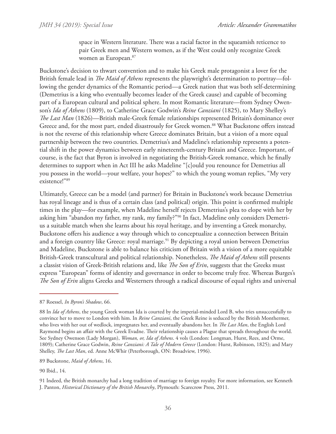space in Western literature. There was a racial factor in the squeamish reticence to pair Greek men and Western women, as if the West could only recognize Greek women as European.87

Buckstone's decision to thwart convention and to make his Greek male protagonist a lover for the British female lead in *The Maid of Athens* represents the playwright's determination to portray—following the gender dynamics of the Romantic period—a Greek nation that was both self-determining (Demetrius is a king who eventually becomes leader of the Greek cause) and capable of becoming part of a European cultural and political sphere. In most Romantic literature—from Sydney Owenson's *Ida of Athens* (1809), to Catherine Grace Godwin's *Reine Canziani* (1825), to Mary Shelley's *The Last Man* (1826)—British male-Greek female relationships represented Britain's dominance over Greece and, for the most part, ended disastrously for Greek women.<sup>88</sup> What Buckstone offers instead is not the reverse of this relationship where Greece dominates Britain, but a vision of a more equal partnership between the two countries. Demetrius's and Madeline's relationship represents a potential shift in the power dynamics between early nineteenth-century Britain and Greece. Important, of course, is the fact that Byron is involved in negotiating the British-Greek romance, which he finally determines to support when in Act III he asks Madeline "[c]ould you renounce for Demetrius all you possess in the world—your welfare, your hopes?" to which the young woman replies, "My very existence!"89

Ultimately, Greece can be a model (and partner) for Britain in Buckstone's work because Demetrius has royal lineage and is thus of a certain class (and political) origin. This point is confirmed multiple times in the play—for example, when Madeline herself rejects Demetrius's plea to elope with her by asking him "abandon my father, my rank, my family?"90 In fact, Madeline only considers Demetrius a suitable match when she learns about his royal heritage, and by inventing a Greek monarchy, Buckstone offers his audience a way through which to conceptualize a connection between Britain and a foreign country like Greece: royal marriage.<sup>91</sup> By depicting a royal union between Demetrius and Madeline, Buckstone is able to balance his criticism of Britain with a vision of a more equitable British-Greek transcultural and political relationship. Nonetheless, *The Maid of Athens* still presents a classist vision of Greek-British relations and, like *The Son of Erin*, suggests that the Greeks must express "European" forms of identity and governance in order to become truly free. Whereas Burges's *The Son of Erin* aligns Greeks and Westerners through a radical discourse of equal rights and universal

89 Buckstone, *Maid of Athens*, 16.

90 Ibid., 14.

<sup>87</sup> Roessel, *In Byron's Shadow*, 66.

<sup>88</sup> In *Ida of Athens*, the young Greek woman Ida is courted by the imperial-minded Lord B, who tries unsuccessfully to convince her to move to London with him. In *Reine Canziani*, the Greek Reine is seduced by the British Monthermer, who lives with her out of wedlock, impregnates her, and eventually abandons her. In *The Last Man*, the English Lord Raymond begins an affair with the Greek Evadne. Their relationship causes a Plague that spreads throughout the world. See Sydney Owenson (Lady Morgan), *Woman, or, Ida of Athens*. 4 vols (London: Longman, Hurst, Rees, and Orme, 1809); Catherine Grace Godwin, *Reine Canziani: A Tale of Modern Greece* (London: Hurst, Robinson, 1825); and Mary Shelley, *The Last Man*, ed. Anne McWhir (Peterborough, ON: Broadview, 1996).

<sup>91</sup> Indeed, the British monarchy had a long tradition of marriage to foreign royalty. For more information, see Kenneth J. Panton, *Historical Dictionary of the British Monarchy*, Plymouth: Scarecrow Press, 2011.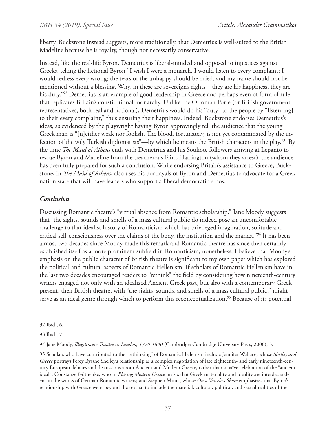liberty, Buckstone instead suggests, more traditionally, that Demetrius is well-suited to the British Madeline because he is royalty, though not necessarily conservative.

Instead, like the real-life Byron, Demetrius is liberal-minded and opposed to injustices against Greeks, telling the fictional Byron "I wish I were a monarch. I would listen to every complaint; I would redress every wrong; the tears of the unhappy should be dried, and my name should not be mentioned without a blessing. Why, in these are sovereign's rights—they are his happiness, they are his duty."<sup>92</sup> Demetrius is an example of good leadership in Greece and perhaps even of form of rule that replicates Britain's constitutional monarchy. Unlike the Ottoman Porte (or British government representatives, both real and fictional), Demetrius would do his "duty" to the people by "listen[ing] to their every complaint," thus ensuring their happiness. Indeed, Buckstone endorses Demetrius's ideas, as evidenced by the playwright having Byron approvingly tell the audience that the young Greek man is "[n]either weak nor foolish. The blood, fortunately, is not yet contaminated by the infection of the wily Turkish diplomatists"—by which he means the British characters in the play.<sup>93</sup> By the time *The Maid of Athens* ends with Demetrius and his Souliote followers arriving at Lepanto to rescue Byron and Madeline from the treacherous Flint-Harrington (whom they arrest), the audience has been fully prepared for such a conclusion. While endorsing Britain's assistance to Greece, Buckstone, in *The Maid of Athens*, also uses his portrayals of Byron and Demetrius to advocate for a Greek nation state that will have leaders who support a liberal democratic ethos.

# *Conclusion*

Discussing Romantic theatre's "virtual absence from Romantic scholarship," Jane Moody suggests that "the sights, sounds and smells of a mass cultural public do indeed pose an uncomfortable challenge to that idealist history of Romanticism which has privileged imagination, solitude and critical self-consciousness over the claims of the body, the institution and the market."94 It has been almost two decades since Moody made this remark and Romantic theatre has since then certainly established itself as a more prominent subfield in Romanticism; nonetheless, I believe that Moody's emphasis on the public character of British theatre is significant to my own paper which has explored the political and cultural aspects of Romantic Hellenism. If scholars of Romantic Hellenism have in the last two decades encouraged readers to "rethink" the field by considering how nineteenth-century writers engaged not only with an idealized Ancient Greek past, but also with a contemporary Greek present, then British theatre, with "the sights, sounds, and smells of a mass cultural public," might serve as an ideal genre through which to perform this reconceptualization.<sup>95</sup> Because of its potential

<sup>92</sup> Ibid., 6.

<sup>93</sup> Ibid., 7.

<sup>94</sup> Jane Moody, *Illegitimate Theatre in London, 1770-1840* (Cambridge: Cambridge University Press, 2000), 3.

<sup>95</sup> Scholars who have contributed to the "rethinking" of Romantic Hellenism include Jennifer Wallace, whose *Shelley and Greece* portrays Percy Bysshe Shelley's relationship as a complex negotiation of late eighteenth- and early nineteenth-century European debates and discussions about Ancient and Modern Greece, rather than a naïve celebration of the "ancient ideal"; Constanze Güthenke, who in *Placing Modern Greece* insists that Greek materiality and ideality are interdependent in the works of German Romantic writers; and Stephen Minta, whose *On a Voiceless Shore* emphasizes that Byron's relationship with Greece went beyond the textual to include the material, cultural, political, and sexual realities of the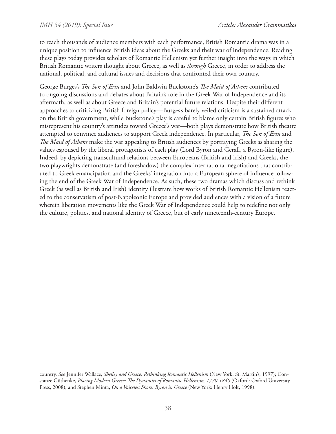to reach thousands of audience members with each performance, British Romantic drama was in a unique position to influence British ideas about the Greeks and their war of independence. Reading these plays today provides scholars of Romantic Hellenism yet further insight into the ways in which British Romantic writers thought about Greece, as well as *through* Greece, in order to address the national, political, and cultural issues and decisions that confronted their own country.

George Burges's *The Son of Erin* and John Baldwin Buckstone's *The Maid of Athens* contributed to ongoing discussions and debates about Britain's role in the Greek War of Independence and its aftermath, as well as about Greece and Britain's potential future relations. Despite their different approaches to criticizing British foreign policy—Burges's barely veiled criticism is a sustained attack on the British government, while Buckstone's play is careful to blame only certain British figures who misrepresent his country's attitudes toward Greece's war—both plays demonstrate how British theatre attempted to convince audiences to support Greek independence. In particular, *The Son of Erin* and *The Maid of Athens* make the war appealing to British audiences by portraying Greeks as sharing the values espoused by the liberal protagonists of each play (Lord Byron and Gerall, a Byron-like figure). Indeed, by depicting transcultural relations between Europeans (British and Irish) and Greeks, the two playwrights demonstrate (and foreshadow) the complex international negotiations that contributed to Greek emancipation and the Greeks' integration into a European sphere of influence following the end of the Greek War of Independence. As such, these two dramas which discuss and rethink Greek (as well as British and Irish) identity illustrate how works of British Romantic Hellenism reacted to the conservatism of post-Napoleonic Europe and provided audiences with a vision of a future wherein liberation movements like the Greek War of Independence could help to redefine not only the culture, politics, and national identity of Greece, but of early nineteenth-century Europe.

country. See Jennifer Wallace, *Shelley and Greece: Rethinking Romantic Hellenism* (New York: St. Martin's, 1997); Constanze Güthenke, *Placing Modern Greece: The Dynamics of Romantic Hellenism, 1770-1840* (Oxford: Oxford University Press, 2008); and Stephen Minta, *On a Voiceless Shore: Byron in Greece* (New York: Henry Holt, 1998).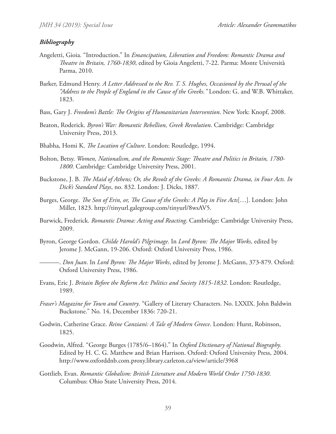#### *Bibliography*

- Angeletti, Gioia. "Introduction." In *Emancipation, Liberation and Freedom: Romantic Drama and Theatre in Britain, 1760-1830*, edited by Gioia Angeletti, 7-22. Parma: Monte Università Parma, 2010.
- Barker, Edmund Henry. *A Letter Addressed to the Rev. T. S. Hughes, Occasioned by the Perusal of the "Address to the People of England in the Cause of the Greeks."* London: G. and W.B. Whittaker, 1823.
- Bass, Gary J. *Freedom's Battle: The Origins of Humanitarian Intervention*. New York: Knopf, 2008.
- Beaton, Roderick. *Byron's War: Romantic Rebellion, Greek Revolution*. Cambridge: Cambridge University Press, 2013.
- Bhabha, Homi K. *The Location of Culture*. London: Routledge, 1994.
- Bolton, Betsy. *Women, Nationalism, and the Romantic Stage: Theatre and Politics in Britain, 1780- 1800*. Cambridge: Cambridge University Press, 2001.
- Buckstone, J. B. *The Maid of Athens; Or, the Revolt of the Greeks: A Romantic Drama, in Four Acts. In Dick's Standard Plays*, no. 832. London: J. Dicks, 1887.
- Burges, George. *The Son of Erin, or, The Cause of the Greeks: A Play in Five Acts*[…]. London: John Miller, 1823. http://tinyurl.galegroup.com/tinyurl/8wsAV5.
- Burwick, Frederick. *Romantic Drama: Acting and Reacting*. Cambridge: Cambridge University Press, 2009.
- Byron, George Gordon. *Childe Harold's Pilgrimage*. In *Lord Byron: The Major Works*, edited by Jerome J. McGann, 19-206. Oxford: Oxford University Press, 1986.
- ———. *Don Juan*. In *Lord Byron: The Major Works*, edited by Jerome J. McGann, 373-879. Oxford: Oxford University Press, 1986.
- Evans, Eric J. *Britain Before the Reform Act: Politics and Society 1815-1832*. London: Routledge, 1989.
- *Fraser's Magazine for Town and Country*. "Gallery of Literary Characters. No. LXXIX. John Baldwin Buckstone." No. 14, December 1836: 720-21.
- Godwin, Catherine Grace. *Reine Canziani: A Tale of Modern Greece*. London: Hurst, Robinson, 1825.
- Goodwin, Alfred. "George Burges (1785/6–1864)." In *Oxford Dictionary of National Biography*. Edited by H. C. G. Matthew and Brian Harrison. Oxford: Oxford University Press, 2004. http://www.oxforddnb.com.proxy.library.carleton.ca/view/article/3968
- Gottlieb, Evan. *Romantic Globalism: British Literature and Modern World Order 1750-1830*. Columbus: Ohio State University Press, 2014.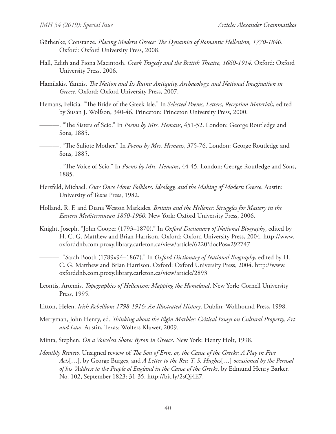- Güthenke, Constanze. *Placing Modern Greece: The Dynamics of Romantic Hellenism, 1770-1840*. Oxford: Oxford University Press, 2008.
- Hall, Edith and Fiona Macintosh. *Greek Tragedy and the British Theatre, 1660-1914*. Oxford: Oxford University Press, 2006.
- Hamilakis, Yannis. *The Nation and Its Ruins: Antiquity, Archaeology, and National Imagination in Greece*. Oxford: Oxford University Press, 2007.
- Hemans, Felicia. "The Bride of the Greek Isle." In *Selected Poems, Letters, Reception Materials*, edited by Susan J. Wolfson, 340-46. Princeton: Princeton University Press, 2000.
	- ———. "The Sisters of Scio." In *Poems by Mrs. Hemans*, 451-52. London: George Routledge and Sons, 1885.
- ———. "The Suliote Mother." In *Poems by Mrs. Hemans*, 375-76. London: George Routledge and Sons, 1885.

———. "The Voice of Scio." In *Poems by Mrs. Hemans*, 44-45. London: George Routledge and Sons, 1885.

- Herzfeld, Michael. *Ours Once More: Folklore, Ideology, and the Making of Modern Greece*. Austin: University of Texas Press, 1982.
- Holland, R. F. and Diana Weston Markides. *Britain and the Hellenes: Struggles for Mastery in the Eastern Mediterranean 1850-1960*. New York: Oxford University Press, 2006.
- Knight, Joseph. "John Cooper (1793–1870)." In *Oxford Dictionary of National Biography*, edited by H. C. G. Matthew and Brian Harrison. Oxford: Oxford University Press, 2004. http://www. oxforddnb.com.proxy.library.carleton.ca/view/article/6220?docPos=292747

———. "Sarah Booth (1789x94–1867)." In *Oxford Dictionary of National Biography*, edited by H. C. G. Matthew and Brian Harrison. Oxford: Oxford University Press, 2004. http://www. oxforddnb.com.proxy.library.carleton.ca/view/article/2893

- Leontis, Artemis. *Topographies of Hellenism: Mapping the Homeland*. New York: Cornell University Press, 1995.
- Litton, Helen. *Irish Rebellions 1798-1916: An Illustrated History*. Dublin: Wolfhound Press, 1998.
- Merryman, John Henry, ed. *Thinking about the Elgin Marbles: Critical Essays on Cultural Property, Art and Law*. Austin, Texas: Wolters Kluwer, 2009.
- Minta, Stephen. *On a Voiceless Shore: Byron in Greece*. New York: Henry Holt, 1998.
- *Monthly Review.* Unsigned review of *The Son of Erin, or, the Cause of the Greeks: A Play in Five Acts*[…], by George Burges, and *A Letter to the Rev. T. S. Hughes*[…] *occasioned by the Perusal of his "Address to the People of England in the Cause of the Greeks*, by Edmund Henry Barker. No. 102, September 1823: 31-35. http://bit.ly/2sQi4E7.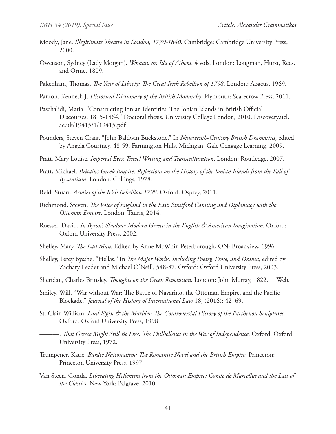- Moody, Jane. *Illegitimate Theatre in London, 1770-1840*. Cambridge: Cambridge University Press, 2000.
- Owenson, Sydney (Lady Morgan). *Woman, or, Ida of Athens*. 4 vols. London: Longman, Hurst, Rees, and Orme, 1809.
- Pakenham, Thomas. *The Year of Liberty: The Great Irish Rebellion of 1798*. London: Abacus, 1969.
- Panton, Kenneth J. *Historical Dictionary of the British Monarchy*. Plymouth: Scarecrow Press, 2011.
- Paschalidi, Maria. "Constructing Ionian Identities: The Ionian Islands in British Official Discourses; 1815-1864." Doctoral thesis, University College London, 2010. Discovery.ucl. ac.uk/19415/1/19415.pdf
- Pounders, Steven Craig. "John Baldwin Buckstone." In *Nineteenth-Century British Dramatists*, edited by Angela Courtney, 48-59. Farmington Hills, Michigan: Gale Cengage Learning, 2009.
- Pratt, Mary Louise. *Imperial Eyes: Travel Writing and Transculturation*. London: Routledge, 2007.
- Pratt, Michael. *Britain's Greek Empire: Reflections on the History of the Ionian Islands from the Fall of Byzantium*. London: Collings, 1978.
- Reid, Stuart. *Armies of the Irish Rebellion 1798*. Oxford: Osprey, 2011.
- Richmond, Steven. *The Voice of England in the East: Stratford Canning and Diplomacy with the Ottoman Empire*. London: Tauris, 2014.
- Roessel, David. *In Byron's Shadow: Modern Greece in the English & American Imagination*. Oxford: Oxford University Press, 2002.
- Shelley, Mary. *The Last Man*. Edited by Anne McWhir. Peterborough, ON: Broadview, 1996.
- Shelley, Percy Bysshe. "Hellas." In *The Major Works, Including Poetry, Prose, and Drama*, edited by Zachary Leader and Michael O'Neill, 548-87. Oxford: Oxford University Press, 2003.
- Sheridan, Charles Brinsley. *Thoughts on the Greek Revolution*. London: John Murray, 1822. Web.
- Smiley, Will. "War without War: The Battle of Navarino, the Ottoman Empire, and the Pacific Blockade." *Journal of the History of International Law* 18, (2016): 42–69.
- St. Clair, William. *Lord Elgin & the Marbles: The Controversial History of the Parthenon Sculptures*. Oxford: Oxford University Press, 1998.
	- ———. *That Greece Might Still Be Free: The Philhellenes in the War of Independence*. Oxford: Oxford University Press, 1972.
- Trumpener, Katie. *Bardic Nationalism: The Romantic Novel and the British Empire*. Princeton: Princeton University Press, 1997.
- Van Steen, Gonda. *Liberating Hellenism from the Ottoman Empire: Comte de Marcellus and the Last of the Classics*. New York: Palgrave, 2010.